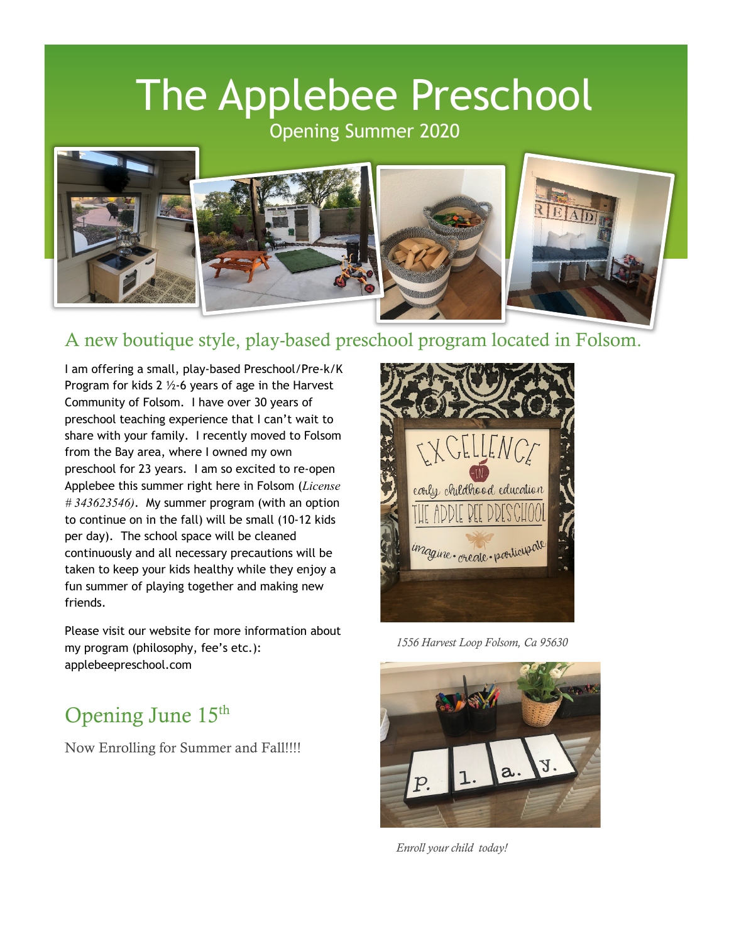# The Applebee Preschool

Opening Summer 2020



## A new boutique style, play-based preschool program located in Folsom.

I am offering a small, play-based Preschool/Pre-k/K Program for kids 2 ½-6 years of age in the Harvest Community of Folsom. I have over 30 years of preschool teaching experience that I can't wait to share with your family. I recently moved to Folsom from the Bay area, where I owned my own preschool for 23 years. I am so excited to re-open Applebee this summer right here in Folsom (*License # 343623546)*. My summer program (with an option to continue on in the fall) will be small (10-12 kids per day). The school space will be cleaned continuously and all necessary precautions will be taken to keep your kids healthy while they enjoy a fun summer of playing together and making new friends.

Please visit our website for more information about my program (philosophy, fee's etc.): applebeepreschool.com

## Opening June 15<sup>th</sup>

Now Enrolling for Summer and Fall!!!!



*1556 Harvest Loop Folsom, Ca 95630*



*Enroll your child today!*